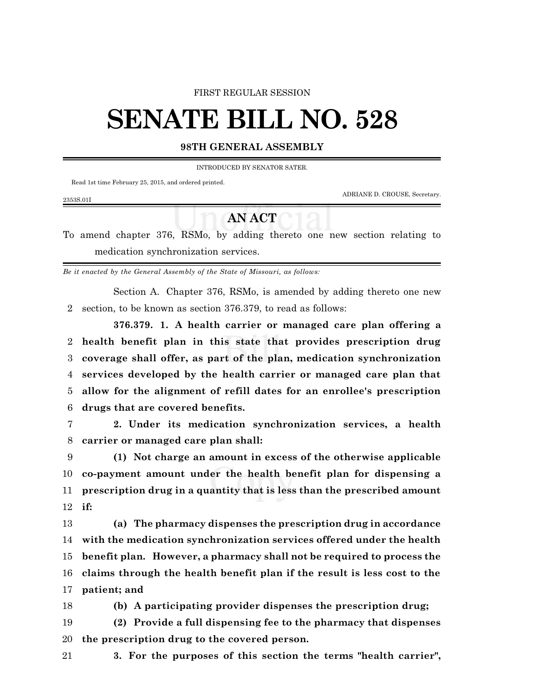#### FIRST REGULAR SESSION

# **SENATE BILL NO. 528**

### **98TH GENERAL ASSEMBLY**

INTRODUCED BY SENATOR SATER.

Read 1st time February 25, 2015, and ordered printed.

ADRIANE D. CROUSE, Secretary.

#### 2353S.01I

## **AN ACT**

To amend chapter 376, RSMo, by adding thereto one new section relating to medication synchronization services.

*Be it enacted by the General Assembly of the State of Missouri, as follows:*

Section A. Chapter 376, RSMo, is amended by adding thereto one new section, to be known as section 376.379, to read as follows:

**376.379. 1. A health carrier or managed care plan offering a health benefit plan in this state that provides prescription drug coverage shall offer, as part of the plan, medication synchronization services developed by the health carrier or managed care plan that allow for the alignment of refill dates for an enrollee's prescription drugs that are covered benefits.**

 **2. Under its medication synchronization services, a health carrier or managed care plan shall:**

 **(1) Not charge an amount in excess of the otherwise applicable co-payment amount under the health benefit plan for dispensing a prescription drug in a quantity that is less than the prescribed amount if:**

 **(a) The pharmacy dispenses the prescription drug in accordance with the medication synchronization services offered under the health benefit plan. However, a pharmacy shall not be required to process the claims through the health benefit plan if the result is less cost to the patient; and**

**(b) A participating provider dispenses the prescription drug;**

 **(2) Provide a full dispensing fee to the pharmacy that dispenses the prescription drug to the covered person.**

**3. For the purposes of this section the terms "health carrier",**